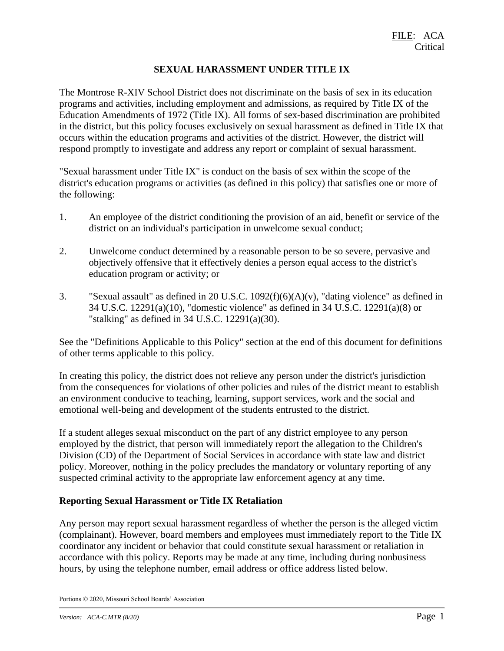### **SEXUAL HARASSMENT UNDER TITLE IX**

The Montrose R-XIV School District does not discriminate on the basis of sex in its education programs and activities, including employment and admissions, as required by Title IX of the Education Amendments of 1972 (Title IX). All forms of sex-based discrimination are prohibited in the district, but this policy focuses exclusively on sexual harassment as defined in Title IX that occurs within the education programs and activities of the district. However, the district will respond promptly to investigate and address any report or complaint of sexual harassment.

"Sexual harassment under Title IX" is conduct on the basis of sex within the scope of the district's education programs or activities (as defined in this policy) that satisfies one or more of the following:

- 1. An employee of the district conditioning the provision of an aid, benefit or service of the district on an individual's participation in unwelcome sexual conduct;
- 2. Unwelcome conduct determined by a reasonable person to be so severe, pervasive and objectively offensive that it effectively denies a person equal access to the district's education program or activity; or
- 3. "Sexual assault" as defined in 20 U.S.C. 1092(f)(6)(A)(v), "dating violence" as defined in 34 U.S.C. 12291(a)(10), "domestic violence" as defined in 34 U.S.C. 12291(a)(8) or "stalking" as defined in 34 U.S.C. 12291(a)(30).

See the "Definitions Applicable to this Policy" section at the end of this document for definitions of other terms applicable to this policy.

In creating this policy, the district does not relieve any person under the district's jurisdiction from the consequences for violations of other policies and rules of the district meant to establish an environment conducive to teaching, learning, support services, work and the social and emotional well-being and development of the students entrusted to the district.

If a student alleges sexual misconduct on the part of any district employee to any person employed by the district, that person will immediately report the allegation to the Children's Division (CD) of the Department of Social Services in accordance with state law and district policy. Moreover, nothing in the policy precludes the mandatory or voluntary reporting of any suspected criminal activity to the appropriate law enforcement agency at any time.

#### **Reporting Sexual Harassment or Title IX Retaliation**

Any person may report sexual harassment regardless of whether the person is the alleged victim (complainant). However, board members and employees must immediately report to the Title IX coordinator any incident or behavior that could constitute sexual harassment or retaliation in accordance with this policy. Reports may be made at any time, including during nonbusiness hours, by using the telephone number, email address or office address listed below.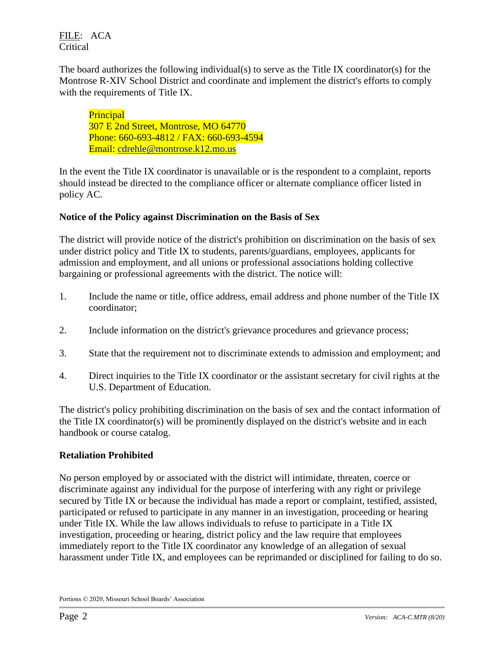The board authorizes the following individual(s) to serve as the Title IX coordinator(s) for the Montrose R-XIV School District and coordinate and implement the district's efforts to comply with the requirements of Title IX.

**Principal** 307 E 2nd Street, Montrose, MO 64770 Phone: 660-693-4812 / FAX: 660-693-4594 Email: [cdrehle@montrose.k12.mo.us](mailto:cdrehle@montrose.k12.mo.us)

In the event the Title IX coordinator is unavailable or is the respondent to a complaint, reports should instead be directed to the compliance officer or alternate compliance officer listed in policy AC.

## **Notice of the Policy against Discrimination on the Basis of Sex**

The district will provide notice of the district's prohibition on discrimination on the basis of sex under district policy and Title IX to students, parents/guardians, employees, applicants for admission and employment, and all unions or professional associations holding collective bargaining or professional agreements with the district. The notice will:

- 1. Include the name or title, office address, email address and phone number of the Title IX coordinator;
- 2. Include information on the district's grievance procedures and grievance process;
- 3. State that the requirement not to discriminate extends to admission and employment; and
- 4. Direct inquiries to the Title IX coordinator or the assistant secretary for civil rights at the U.S. Department of Education.

The district's policy prohibiting discrimination on the basis of sex and the contact information of the Title IX coordinator(s) will be prominently displayed on the district's website and in each handbook or course catalog.

## **Retaliation Prohibited**

No person employed by or associated with the district will intimidate, threaten, coerce or discriminate against any individual for the purpose of interfering with any right or privilege secured by Title IX or because the individual has made a report or complaint, testified, assisted, participated or refused to participate in any manner in an investigation, proceeding or hearing under Title IX. While the law allows individuals to refuse to participate in a Title IX investigation, proceeding or hearing, district policy and the law require that employees immediately report to the Title IX coordinator any knowledge of an allegation of sexual harassment under Title IX, and employees can be reprimanded or disciplined for failing to do so.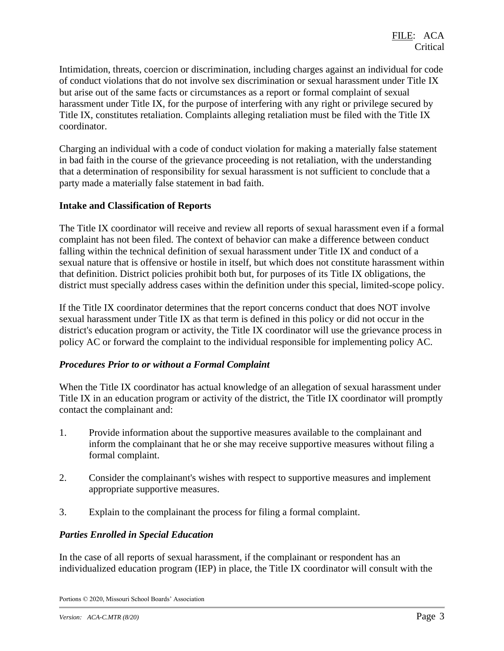Intimidation, threats, coercion or discrimination, including charges against an individual for code of conduct violations that do not involve sex discrimination or sexual harassment under Title IX but arise out of the same facts or circumstances as a report or formal complaint of sexual harassment under Title IX, for the purpose of interfering with any right or privilege secured by Title IX, constitutes retaliation. Complaints alleging retaliation must be filed with the Title IX coordinator.

Charging an individual with a code of conduct violation for making a materially false statement in bad faith in the course of the grievance proceeding is not retaliation, with the understanding that a determination of responsibility for sexual harassment is not sufficient to conclude that a party made a materially false statement in bad faith.

#### **Intake and Classification of Reports**

The Title IX coordinator will receive and review all reports of sexual harassment even if a formal complaint has not been filed. The context of behavior can make a difference between conduct falling within the technical definition of sexual harassment under Title IX and conduct of a sexual nature that is offensive or hostile in itself, but which does not constitute harassment within that definition. District policies prohibit both but, for purposes of its Title IX obligations, the district must specially address cases within the definition under this special, limited-scope policy.

If the Title IX coordinator determines that the report concerns conduct that does NOT involve sexual harassment under Title IX as that term is defined in this policy or did not occur in the district's education program or activity, the Title IX coordinator will use the grievance process in policy AC or forward the complaint to the individual responsible for implementing policy AC.

#### *Procedures Prior to or without a Formal Complaint*

When the Title IX coordinator has actual knowledge of an allegation of sexual harassment under Title IX in an education program or activity of the district, the Title IX coordinator will promptly contact the complainant and:

- 1. Provide information about the supportive measures available to the complainant and inform the complainant that he or she may receive supportive measures without filing a formal complaint.
- 2. Consider the complainant's wishes with respect to supportive measures and implement appropriate supportive measures.
- 3. Explain to the complainant the process for filing a formal complaint.

#### *Parties Enrolled in Special Education*

In the case of all reports of sexual harassment, if the complainant or respondent has an individualized education program (IEP) in place, the Title IX coordinator will consult with the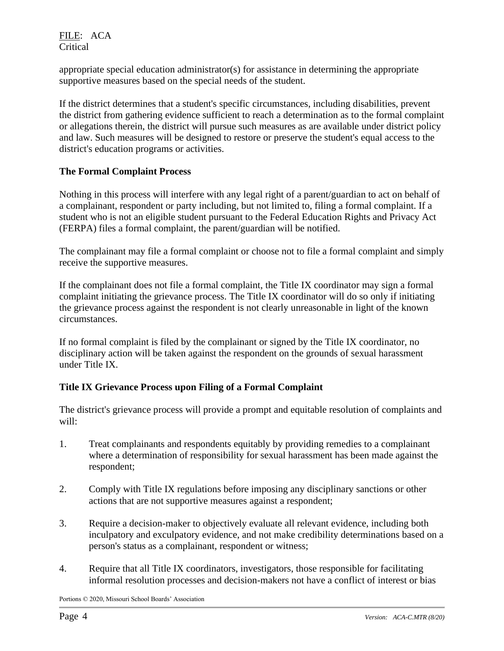appropriate special education administrator(s) for assistance in determining the appropriate supportive measures based on the special needs of the student.

If the district determines that a student's specific circumstances, including disabilities, prevent the district from gathering evidence sufficient to reach a determination as to the formal complaint or allegations therein, the district will pursue such measures as are available under district policy and law. Such measures will be designed to restore or preserve the student's equal access to the district's education programs or activities.

## **The Formal Complaint Process**

Nothing in this process will interfere with any legal right of a parent/guardian to act on behalf of a complainant, respondent or party including, but not limited to, filing a formal complaint. If a student who is not an eligible student pursuant to the Federal Education Rights and Privacy Act (FERPA) files a formal complaint, the parent/guardian will be notified.

The complainant may file a formal complaint or choose not to file a formal complaint and simply receive the supportive measures.

If the complainant does not file a formal complaint, the Title IX coordinator may sign a formal complaint initiating the grievance process. The Title IX coordinator will do so only if initiating the grievance process against the respondent is not clearly unreasonable in light of the known circumstances.

If no formal complaint is filed by the complainant or signed by the Title IX coordinator, no disciplinary action will be taken against the respondent on the grounds of sexual harassment under Title IX.

## **Title IX Grievance Process upon Filing of a Formal Complaint**

The district's grievance process will provide a prompt and equitable resolution of complaints and will:

- 1. Treat complainants and respondents equitably by providing remedies to a complainant where a determination of responsibility for sexual harassment has been made against the respondent;
- 2. Comply with Title IX regulations before imposing any disciplinary sanctions or other actions that are not supportive measures against a respondent;
- 3. Require a decision-maker to objectively evaluate all relevant evidence, including both inculpatory and exculpatory evidence, and not make credibility determinations based on a person's status as a complainant, respondent or witness;
- 4. Require that all Title IX coordinators, investigators, those responsible for facilitating informal resolution processes and decision-makers not have a conflict of interest or bias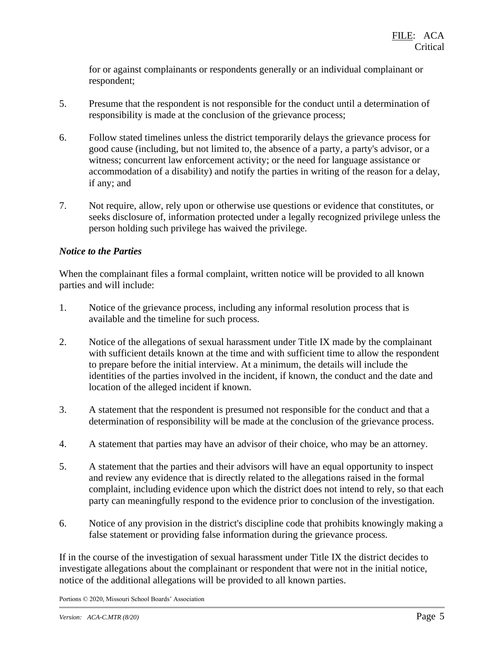for or against complainants or respondents generally or an individual complainant or respondent;

- 5. Presume that the respondent is not responsible for the conduct until a determination of responsibility is made at the conclusion of the grievance process;
- 6. Follow stated timelines unless the district temporarily delays the grievance process for good cause (including, but not limited to, the absence of a party, a party's advisor, or a witness; concurrent law enforcement activity; or the need for language assistance or accommodation of a disability) and notify the parties in writing of the reason for a delay, if any; and
- 7. Not require, allow, rely upon or otherwise use questions or evidence that constitutes, or seeks disclosure of, information protected under a legally recognized privilege unless the person holding such privilege has waived the privilege.

## *Notice to the Parties*

When the complainant files a formal complaint, written notice will be provided to all known parties and will include:

- 1. Notice of the grievance process, including any informal resolution process that is available and the timeline for such process.
- 2. Notice of the allegations of sexual harassment under Title IX made by the complainant with sufficient details known at the time and with sufficient time to allow the respondent to prepare before the initial interview. At a minimum, the details will include the identities of the parties involved in the incident, if known, the conduct and the date and location of the alleged incident if known.
- 3. A statement that the respondent is presumed not responsible for the conduct and that a determination of responsibility will be made at the conclusion of the grievance process.
- 4. A statement that parties may have an advisor of their choice, who may be an attorney.
- 5. A statement that the parties and their advisors will have an equal opportunity to inspect and review any evidence that is directly related to the allegations raised in the formal complaint, including evidence upon which the district does not intend to rely, so that each party can meaningfully respond to the evidence prior to conclusion of the investigation.
- 6. Notice of any provision in the district's discipline code that prohibits knowingly making a false statement or providing false information during the grievance process.

If in the course of the investigation of sexual harassment under Title IX the district decides to investigate allegations about the complainant or respondent that were not in the initial notice, notice of the additional allegations will be provided to all known parties.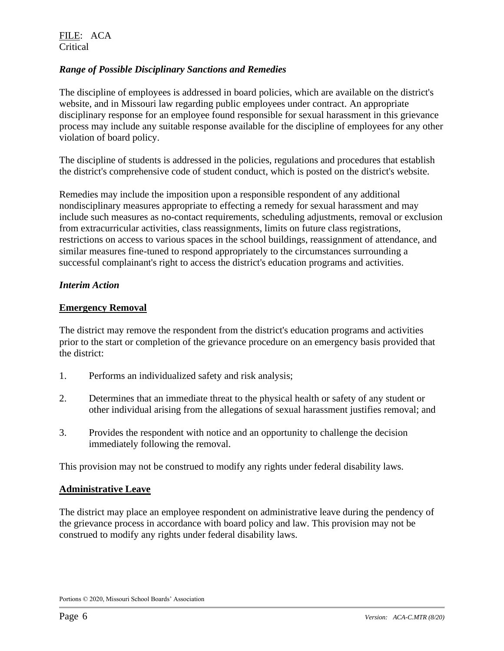### *Range of Possible Disciplinary Sanctions and Remedies*

The discipline of employees is addressed in board policies, which are available on the district's website, and in Missouri law regarding public employees under contract. An appropriate disciplinary response for an employee found responsible for sexual harassment in this grievance process may include any suitable response available for the discipline of employees for any other violation of board policy.

The discipline of students is addressed in the policies, regulations and procedures that establish the district's comprehensive code of student conduct, which is posted on the district's website.

Remedies may include the imposition upon a responsible respondent of any additional nondisciplinary measures appropriate to effecting a remedy for sexual harassment and may include such measures as no-contact requirements, scheduling adjustments, removal or exclusion from extracurricular activities, class reassignments, limits on future class registrations, restrictions on access to various spaces in the school buildings, reassignment of attendance, and similar measures fine-tuned to respond appropriately to the circumstances surrounding a successful complainant's right to access the district's education programs and activities.

#### *Interim Action*

#### **Emergency Removal**

The district may remove the respondent from the district's education programs and activities prior to the start or completion of the grievance procedure on an emergency basis provided that the district:

- 1. Performs an individualized safety and risk analysis;
- 2. Determines that an immediate threat to the physical health or safety of any student or other individual arising from the allegations of sexual harassment justifies removal; and
- 3. Provides the respondent with notice and an opportunity to challenge the decision immediately following the removal.

This provision may not be construed to modify any rights under federal disability laws.

#### **Administrative Leave**

The district may place an employee respondent on administrative leave during the pendency of the grievance process in accordance with board policy and law. This provision may not be construed to modify any rights under federal disability laws.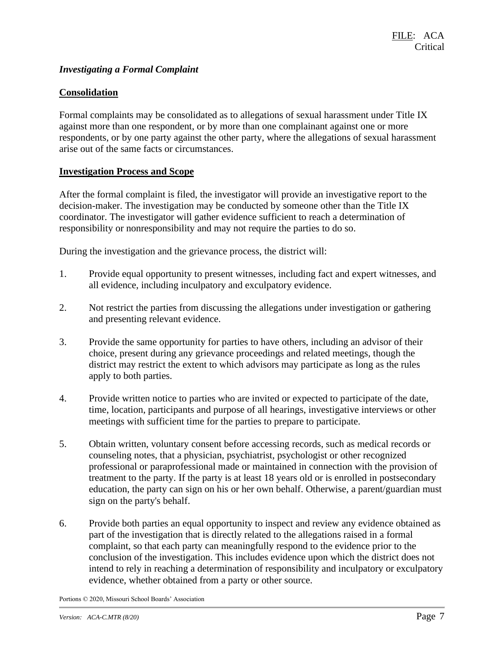### *Investigating a Formal Complaint*

#### **Consolidation**

Formal complaints may be consolidated as to allegations of sexual harassment under Title IX against more than one respondent, or by more than one complainant against one or more respondents, or by one party against the other party, where the allegations of sexual harassment arise out of the same facts or circumstances.

#### **Investigation Process and Scope**

After the formal complaint is filed, the investigator will provide an investigative report to the decision-maker. The investigation may be conducted by someone other than the Title IX coordinator. The investigator will gather evidence sufficient to reach a determination of responsibility or nonresponsibility and may not require the parties to do so.

During the investigation and the grievance process, the district will:

- 1. Provide equal opportunity to present witnesses, including fact and expert witnesses, and all evidence, including inculpatory and exculpatory evidence.
- 2. Not restrict the parties from discussing the allegations under investigation or gathering and presenting relevant evidence.
- 3. Provide the same opportunity for parties to have others, including an advisor of their choice, present during any grievance proceedings and related meetings, though the district may restrict the extent to which advisors may participate as long as the rules apply to both parties.
- 4. Provide written notice to parties who are invited or expected to participate of the date, time, location, participants and purpose of all hearings, investigative interviews or other meetings with sufficient time for the parties to prepare to participate.
- 5. Obtain written, voluntary consent before accessing records, such as medical records or counseling notes, that a physician, psychiatrist, psychologist or other recognized professional or paraprofessional made or maintained in connection with the provision of treatment to the party. If the party is at least 18 years old or is enrolled in postsecondary education, the party can sign on his or her own behalf. Otherwise, a parent/guardian must sign on the party's behalf.
- 6. Provide both parties an equal opportunity to inspect and review any evidence obtained as part of the investigation that is directly related to the allegations raised in a formal complaint, so that each party can meaningfully respond to the evidence prior to the conclusion of the investigation. This includes evidence upon which the district does not intend to rely in reaching a determination of responsibility and inculpatory or exculpatory evidence, whether obtained from a party or other source.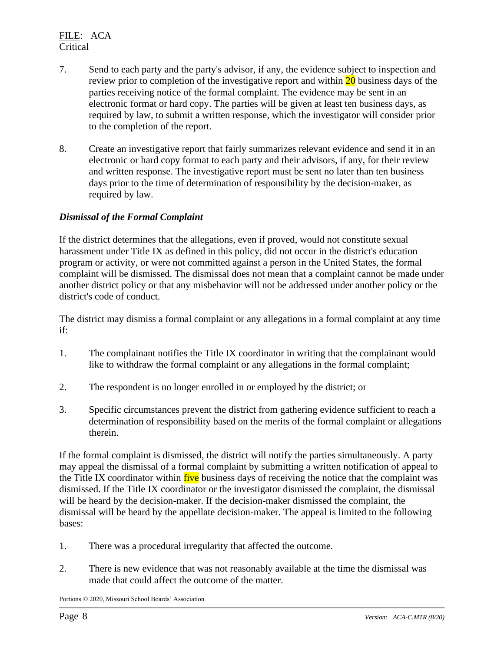- 7. Send to each party and the party's advisor, if any, the evidence subject to inspection and review prior to completion of the investigative report and within 20 business days of the parties receiving notice of the formal complaint. The evidence may be sent in an electronic format or hard copy. The parties will be given at least ten business days, as required by law, to submit a written response, which the investigator will consider prior to the completion of the report.
- 8. Create an investigative report that fairly summarizes relevant evidence and send it in an electronic or hard copy format to each party and their advisors, if any, for their review and written response. The investigative report must be sent no later than ten business days prior to the time of determination of responsibility by the decision-maker, as required by law.

### *Dismissal of the Formal Complaint*

If the district determines that the allegations, even if proved, would not constitute sexual harassment under Title IX as defined in this policy, did not occur in the district's education program or activity, or were not committed against a person in the United States, the formal complaint will be dismissed. The dismissal does not mean that a complaint cannot be made under another district policy or that any misbehavior will not be addressed under another policy or the district's code of conduct.

The district may dismiss a formal complaint or any allegations in a formal complaint at any time if:

- 1. The complainant notifies the Title IX coordinator in writing that the complainant would like to withdraw the formal complaint or any allegations in the formal complaint;
- 2. The respondent is no longer enrolled in or employed by the district; or
- 3. Specific circumstances prevent the district from gathering evidence sufficient to reach a determination of responsibility based on the merits of the formal complaint or allegations therein.

If the formal complaint is dismissed, the district will notify the parties simultaneously. A party may appeal the dismissal of a formal complaint by submitting a written notification of appeal to the Title IX coordinator within five business days of receiving the notice that the complaint was dismissed. If the Title IX coordinator or the investigator dismissed the complaint, the dismissal will be heard by the decision-maker. If the decision-maker dismissed the complaint, the dismissal will be heard by the appellate decision-maker. The appeal is limited to the following bases:

- 1. There was a procedural irregularity that affected the outcome.
- 2. There is new evidence that was not reasonably available at the time the dismissal was made that could affect the outcome of the matter.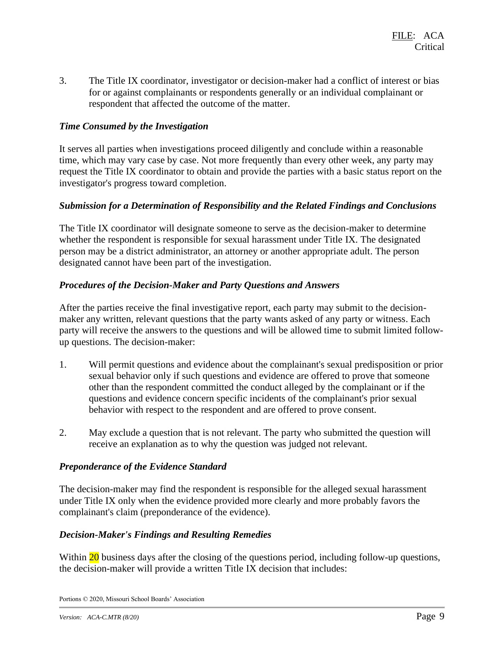3. The Title IX coordinator, investigator or decision-maker had a conflict of interest or bias for or against complainants or respondents generally or an individual complainant or respondent that affected the outcome of the matter.

#### *Time Consumed by the Investigation*

It serves all parties when investigations proceed diligently and conclude within a reasonable time, which may vary case by case. Not more frequently than every other week, any party may request the Title IX coordinator to obtain and provide the parties with a basic status report on the investigator's progress toward completion.

### *Submission for a Determination of Responsibility and the Related Findings and Conclusions*

The Title IX coordinator will designate someone to serve as the decision-maker to determine whether the respondent is responsible for sexual harassment under Title IX. The designated person may be a district administrator, an attorney or another appropriate adult. The person designated cannot have been part of the investigation.

### *Procedures of the Decision-Maker and Party Questions and Answers*

After the parties receive the final investigative report, each party may submit to the decisionmaker any written, relevant questions that the party wants asked of any party or witness. Each party will receive the answers to the questions and will be allowed time to submit limited followup questions. The decision-maker:

- 1. Will permit questions and evidence about the complainant's sexual predisposition or prior sexual behavior only if such questions and evidence are offered to prove that someone other than the respondent committed the conduct alleged by the complainant or if the questions and evidence concern specific incidents of the complainant's prior sexual behavior with respect to the respondent and are offered to prove consent.
- 2. May exclude a question that is not relevant. The party who submitted the question will receive an explanation as to why the question was judged not relevant.

#### *Preponderance of the Evidence Standard*

The decision-maker may find the respondent is responsible for the alleged sexual harassment under Title IX only when the evidence provided more clearly and more probably favors the complainant's claim (preponderance of the evidence).

#### *Decision-Maker's Findings and Resulting Remedies*

Within 20 business days after the closing of the questions period, including follow-up questions, the decision-maker will provide a written Title IX decision that includes: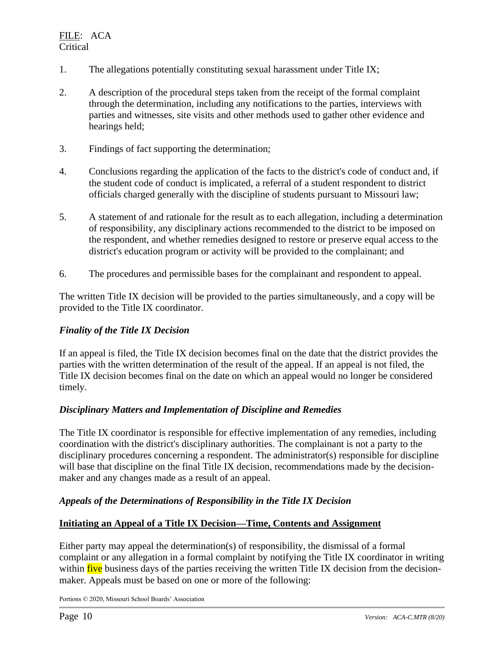- 1. The allegations potentially constituting sexual harassment under Title IX;
- 2. A description of the procedural steps taken from the receipt of the formal complaint through the determination, including any notifications to the parties, interviews with parties and witnesses, site visits and other methods used to gather other evidence and hearings held;
- 3. Findings of fact supporting the determination;
- 4. Conclusions regarding the application of the facts to the district's code of conduct and, if the student code of conduct is implicated, a referral of a student respondent to district officials charged generally with the discipline of students pursuant to Missouri law;
- 5. A statement of and rationale for the result as to each allegation, including a determination of responsibility, any disciplinary actions recommended to the district to be imposed on the respondent, and whether remedies designed to restore or preserve equal access to the district's education program or activity will be provided to the complainant; and
- 6. The procedures and permissible bases for the complainant and respondent to appeal.

The written Title IX decision will be provided to the parties simultaneously, and a copy will be provided to the Title IX coordinator.

## *Finality of the Title IX Decision*

If an appeal is filed, the Title IX decision becomes final on the date that the district provides the parties with the written determination of the result of the appeal. If an appeal is not filed, the Title IX decision becomes final on the date on which an appeal would no longer be considered timely.

## *Disciplinary Matters and Implementation of Discipline and Remedies*

The Title IX coordinator is responsible for effective implementation of any remedies, including coordination with the district's disciplinary authorities. The complainant is not a party to the disciplinary procedures concerning a respondent. The administrator(s) responsible for discipline will base that discipline on the final Title IX decision, recommendations made by the decisionmaker and any changes made as a result of an appeal.

## *Appeals of the Determinations of Responsibility in the Title IX Decision*

## **Initiating an Appeal of a Title IX Decision—Time, Contents and Assignment**

Either party may appeal the determination(s) of responsibility, the dismissal of a formal complaint or any allegation in a formal complaint by notifying the Title IX coordinator in writing within five business days of the parties receiving the written Title IX decision from the decisionmaker. Appeals must be based on one or more of the following: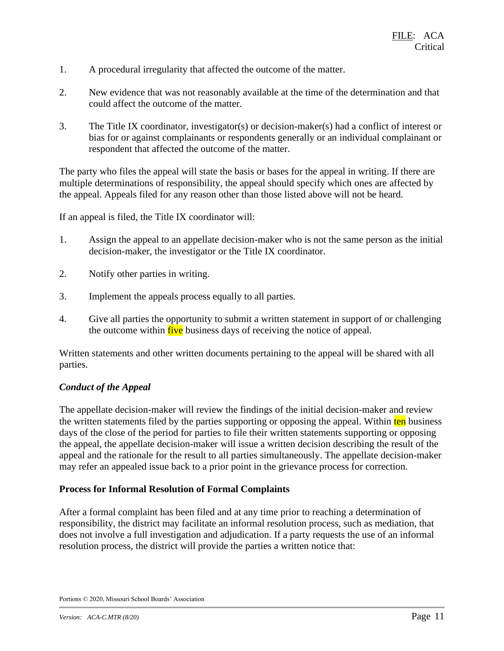- 1. A procedural irregularity that affected the outcome of the matter.
- 2. New evidence that was not reasonably available at the time of the determination and that could affect the outcome of the matter.
- 3. The Title IX coordinator, investigator(s) or decision-maker(s) had a conflict of interest or bias for or against complainants or respondents generally or an individual complainant or respondent that affected the outcome of the matter.

The party who files the appeal will state the basis or bases for the appeal in writing. If there are multiple determinations of responsibility, the appeal should specify which ones are affected by the appeal. Appeals filed for any reason other than those listed above will not be heard.

If an appeal is filed, the Title IX coordinator will:

- 1. Assign the appeal to an appellate decision-maker who is not the same person as the initial decision-maker, the investigator or the Title IX coordinator.
- 2. Notify other parties in writing.
- 3. Implement the appeals process equally to all parties.
- 4. Give all parties the opportunity to submit a written statement in support of or challenging the outcome within five business days of receiving the notice of appeal.

Written statements and other written documents pertaining to the appeal will be shared with all parties.

#### *Conduct of the Appeal*

The appellate decision-maker will review the findings of the initial decision-maker and review the written statements filed by the parties supporting or opposing the appeal. Within ten business days of the close of the period for parties to file their written statements supporting or opposing the appeal, the appellate decision-maker will issue a written decision describing the result of the appeal and the rationale for the result to all parties simultaneously. The appellate decision-maker may refer an appealed issue back to a prior point in the grievance process for correction.

#### **Process for Informal Resolution of Formal Complaints**

After a formal complaint has been filed and at any time prior to reaching a determination of responsibility, the district may facilitate an informal resolution process, such as mediation, that does not involve a full investigation and adjudication. If a party requests the use of an informal resolution process, the district will provide the parties a written notice that: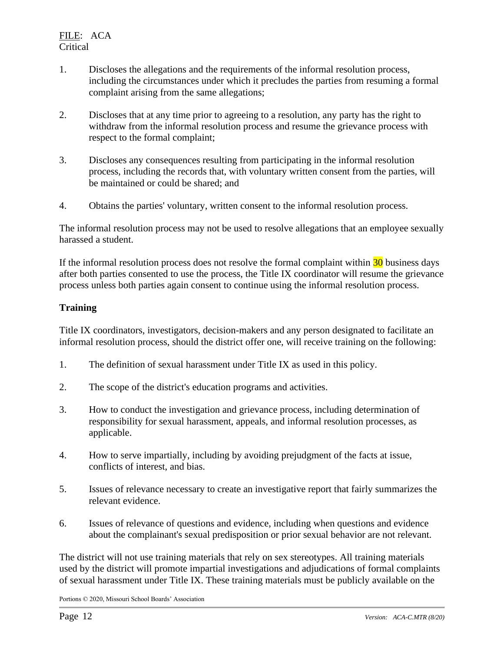- 1. Discloses the allegations and the requirements of the informal resolution process, including the circumstances under which it precludes the parties from resuming a formal complaint arising from the same allegations;
- 2. Discloses that at any time prior to agreeing to a resolution, any party has the right to withdraw from the informal resolution process and resume the grievance process with respect to the formal complaint;
- 3. Discloses any consequences resulting from participating in the informal resolution process, including the records that, with voluntary written consent from the parties, will be maintained or could be shared; and
- 4. Obtains the parties' voluntary, written consent to the informal resolution process.

The informal resolution process may not be used to resolve allegations that an employee sexually harassed a student.

If the informal resolution process does not resolve the formal complaint within  $\frac{30}{10}$  business days after both parties consented to use the process, the Title IX coordinator will resume the grievance process unless both parties again consent to continue using the informal resolution process.

### **Training**

Title IX coordinators, investigators, decision-makers and any person designated to facilitate an informal resolution process, should the district offer one, will receive training on the following:

- 1. The definition of sexual harassment under Title IX as used in this policy.
- 2. The scope of the district's education programs and activities.
- 3. How to conduct the investigation and grievance process, including determination of responsibility for sexual harassment, appeals, and informal resolution processes, as applicable.
- 4. How to serve impartially, including by avoiding prejudgment of the facts at issue, conflicts of interest, and bias.
- 5. Issues of relevance necessary to create an investigative report that fairly summarizes the relevant evidence.
- 6. Issues of relevance of questions and evidence, including when questions and evidence about the complainant's sexual predisposition or prior sexual behavior are not relevant.

The district will not use training materials that rely on sex stereotypes. All training materials used by the district will promote impartial investigations and adjudications of formal complaints of sexual harassment under Title IX. These training materials must be publicly available on the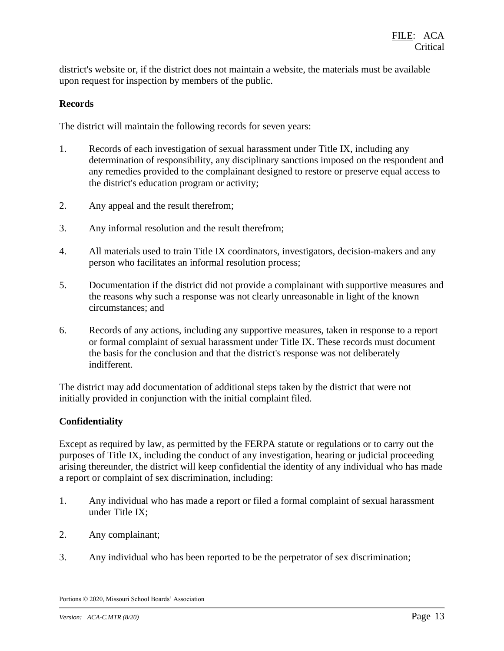district's website or, if the district does not maintain a website, the materials must be available upon request for inspection by members of the public.

### **Records**

The district will maintain the following records for seven years:

- 1. Records of each investigation of sexual harassment under Title IX, including any determination of responsibility, any disciplinary sanctions imposed on the respondent and any remedies provided to the complainant designed to restore or preserve equal access to the district's education program or activity;
- 2. Any appeal and the result therefrom;
- 3. Any informal resolution and the result therefrom;
- 4. All materials used to train Title IX coordinators, investigators, decision-makers and any person who facilitates an informal resolution process;
- 5. Documentation if the district did not provide a complainant with supportive measures and the reasons why such a response was not clearly unreasonable in light of the known circumstances; and
- 6. Records of any actions, including any supportive measures, taken in response to a report or formal complaint of sexual harassment under Title IX. These records must document the basis for the conclusion and that the district's response was not deliberately indifferent.

The district may add documentation of additional steps taken by the district that were not initially provided in conjunction with the initial complaint filed.

#### **Confidentiality**

Except as required by law, as permitted by the FERPA statute or regulations or to carry out the purposes of Title IX, including the conduct of any investigation, hearing or judicial proceeding arising thereunder, the district will keep confidential the identity of any individual who has made a report or complaint of sex discrimination, including:

- 1. Any individual who has made a report or filed a formal complaint of sexual harassment under Title IX;
- 2. Any complainant;
- 3. Any individual who has been reported to be the perpetrator of sex discrimination;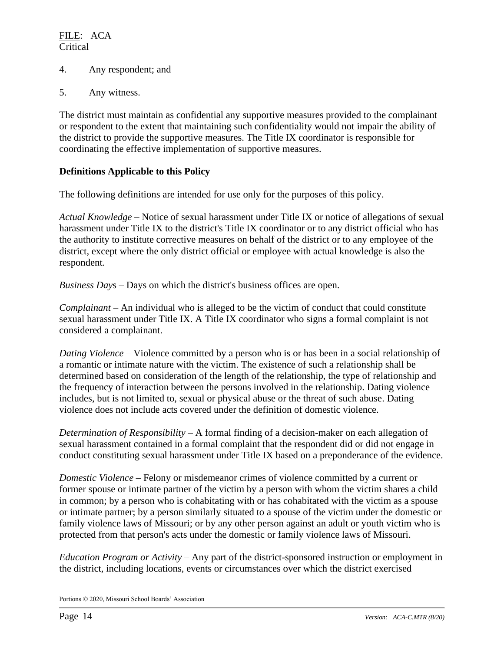- 4. Any respondent; and
- 5. Any witness.

The district must maintain as confidential any supportive measures provided to the complainant or respondent to the extent that maintaining such confidentiality would not impair the ability of the district to provide the supportive measures. The Title IX coordinator is responsible for coordinating the effective implementation of supportive measures.

#### **Definitions Applicable to this Policy**

The following definitions are intended for use only for the purposes of this policy.

*Actual Knowledge* – Notice of sexual harassment under Title IX or notice of allegations of sexual harassment under Title IX to the district's Title IX coordinator or to any district official who has the authority to institute corrective measures on behalf of the district or to any employee of the district, except where the only district official or employee with actual knowledge is also the respondent.

*Business Day*s – Days on which the district's business offices are open.

*Complainant* – An individual who is alleged to be the victim of conduct that could constitute sexual harassment under Title IX. A Title IX coordinator who signs a formal complaint is not considered a complainant.

*Dating Violence* – Violence committed by a person who is or has been in a social relationship of a romantic or intimate nature with the victim. The existence of such a relationship shall be determined based on consideration of the length of the relationship, the type of relationship and the frequency of interaction between the persons involved in the relationship. Dating violence includes, but is not limited to, sexual or physical abuse or the threat of such abuse. Dating violence does not include acts covered under the definition of domestic violence.

*Determination of Responsibility* – A formal finding of a decision-maker on each allegation of sexual harassment contained in a formal complaint that the respondent did or did not engage in conduct constituting sexual harassment under Title IX based on a preponderance of the evidence.

*Domestic Violence* – Felony or misdemeanor crimes of violence committed by a current or former spouse or intimate partner of the victim by a person with whom the victim shares a child in common; by a person who is cohabitating with or has cohabitated with the victim as a spouse or intimate partner; by a person similarly situated to a spouse of the victim under the domestic or family violence laws of Missouri; or by any other person against an adult or youth victim who is protected from that person's acts under the domestic or family violence laws of Missouri.

*Education Program or Activity* – Any part of the district-sponsored instruction or employment in the district, including locations, events or circumstances over which the district exercised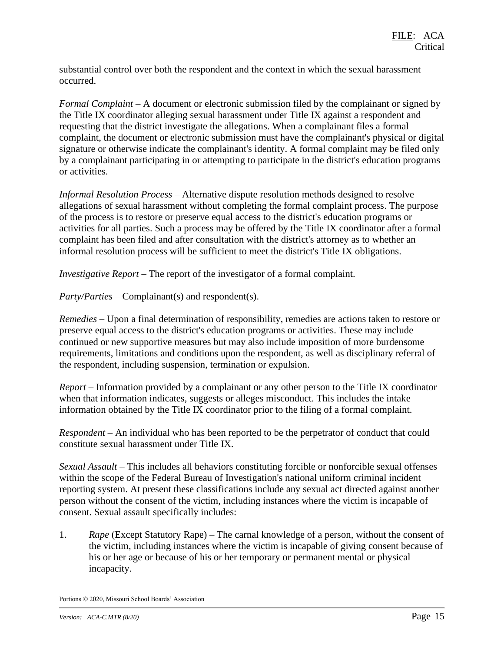substantial control over both the respondent and the context in which the sexual harassment occurred.

*Formal Complaint* – A document or electronic submission filed by the complainant or signed by the Title IX coordinator alleging sexual harassment under Title IX against a respondent and requesting that the district investigate the allegations. When a complainant files a formal complaint, the document or electronic submission must have the complainant's physical or digital signature or otherwise indicate the complainant's identity. A formal complaint may be filed only by a complainant participating in or attempting to participate in the district's education programs or activities.

*Informal Resolution Process* – Alternative dispute resolution methods designed to resolve allegations of sexual harassment without completing the formal complaint process. The purpose of the process is to restore or preserve equal access to the district's education programs or activities for all parties. Such a process may be offered by the Title IX coordinator after a formal complaint has been filed and after consultation with the district's attorney as to whether an informal resolution process will be sufficient to meet the district's Title IX obligations.

*Investigative Report* – The report of the investigator of a formal complaint.

*Party/Parties* – Complainant(s) and respondent(s).

*Remedies* – Upon a final determination of responsibility, remedies are actions taken to restore or preserve equal access to the district's education programs or activities. These may include continued or new supportive measures but may also include imposition of more burdensome requirements, limitations and conditions upon the respondent, as well as disciplinary referral of the respondent, including suspension, termination or expulsion.

*Report* – Information provided by a complainant or any other person to the Title IX coordinator when that information indicates, suggests or alleges misconduct. This includes the intake information obtained by the Title IX coordinator prior to the filing of a formal complaint.

*Respondent* – An individual who has been reported to be the perpetrator of conduct that could constitute sexual harassment under Title IX.

*Sexual Assault* – This includes all behaviors constituting forcible or nonforcible sexual offenses within the scope of the Federal Bureau of Investigation's national uniform criminal incident reporting system. At present these classifications include any sexual act directed against another person without the consent of the victim, including instances where the victim is incapable of consent. Sexual assault specifically includes:

1. *Rape* (Except Statutory Rape) – The carnal knowledge of a person, without the consent of the victim, including instances where the victim is incapable of giving consent because of his or her age or because of his or her temporary or permanent mental or physical incapacity.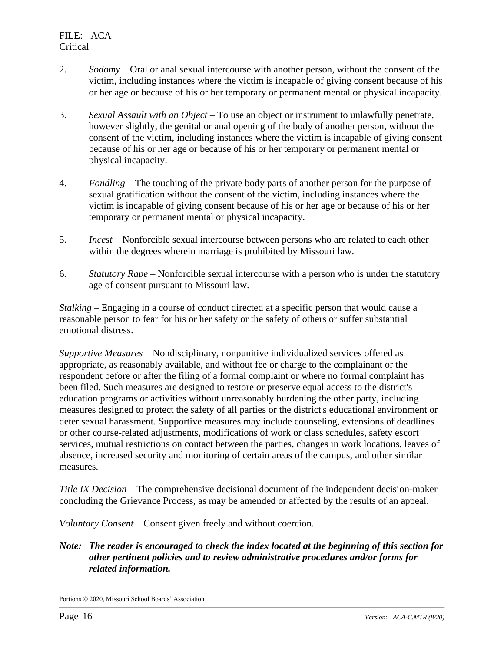- 2. *Sodomy* Oral or anal sexual intercourse with another person, without the consent of the victim, including instances where the victim is incapable of giving consent because of his or her age or because of his or her temporary or permanent mental or physical incapacity.
- 3. *Sexual Assault with an Object* To use an object or instrument to unlawfully penetrate, however slightly, the genital or anal opening of the body of another person, without the consent of the victim, including instances where the victim is incapable of giving consent because of his or her age or because of his or her temporary or permanent mental or physical incapacity.
- 4. *Fondling* The touching of the private body parts of another person for the purpose of sexual gratification without the consent of the victim, including instances where the victim is incapable of giving consent because of his or her age or because of his or her temporary or permanent mental or physical incapacity.
- 5. *Incest* Nonforcible sexual intercourse between persons who are related to each other within the degrees wherein marriage is prohibited by Missouri law.
- 6. *Statutory Rape* Nonforcible sexual intercourse with a person who is under the statutory age of consent pursuant to Missouri law.

*Stalking* – Engaging in a course of conduct directed at a specific person that would cause a reasonable person to fear for his or her safety or the safety of others or suffer substantial emotional distress.

*Supportive Measures* – Nondisciplinary, nonpunitive individualized services offered as appropriate, as reasonably available, and without fee or charge to the complainant or the respondent before or after the filing of a formal complaint or where no formal complaint has been filed. Such measures are designed to restore or preserve equal access to the district's education programs or activities without unreasonably burdening the other party, including measures designed to protect the safety of all parties or the district's educational environment or deter sexual harassment. Supportive measures may include counseling, extensions of deadlines or other course-related adjustments, modifications of work or class schedules, safety escort services, mutual restrictions on contact between the parties, changes in work locations, leaves of absence, increased security and monitoring of certain areas of the campus, and other similar measures.

*Title IX Decision* – The comprehensive decisional document of the independent decision-maker concluding the Grievance Process, as may be amended or affected by the results of an appeal.

*Voluntary Consent* – Consent given freely and without coercion.

## *Note: The reader is encouraged to check the index located at the beginning of this section for other pertinent policies and to review administrative procedures and/or forms for related information.*